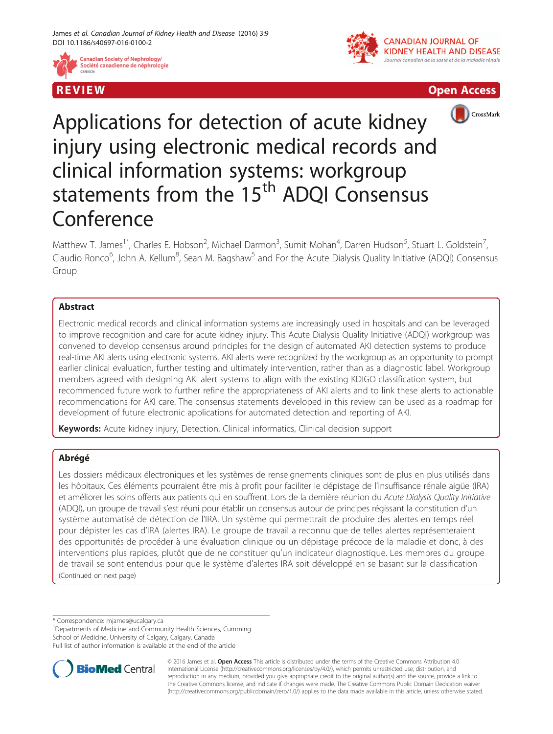

**Canadian Society of Nephrology/** Société canadienne de néphrologie







# Applications for detection of acute kidney injury using electronic medical records and clinical information systems: workgroup statements from the 15<sup>th</sup> ADQI Consensus Conference

Matthew T. James<sup>1\*</sup>, Charles E. Hobson<sup>2</sup>, Michael Darmon<sup>3</sup>, Sumit Mohan<sup>4</sup>, Darren Hudson<sup>5</sup>, Stuart L. Goldstein<sup>7</sup> , Claudio Ronco<sup>6</sup>, John A. Kellum<sup>8</sup>, Sean M. Bagshaw<sup>5</sup> and For the Acute Dialysis Quality Initiative (ADQI) Consensus Group

# Abstract

Electronic medical records and clinical information systems are increasingly used in hospitals and can be leveraged to improve recognition and care for acute kidney injury. This Acute Dialysis Quality Initiative (ADQI) workgroup was convened to develop consensus around principles for the design of automated AKI detection systems to produce real-time AKI alerts using electronic systems. AKI alerts were recognized by the workgroup as an opportunity to prompt earlier clinical evaluation, further testing and ultimately intervention, rather than as a diagnostic label. Workgroup members agreed with designing AKI alert systems to align with the existing KDIGO classification system, but recommended future work to further refine the appropriateness of AKI alerts and to link these alerts to actionable recommendations for AKI care. The consensus statements developed in this review can be used as a roadmap for development of future electronic applications for automated detection and reporting of AKI.

Keywords: Acute kidney injury, Detection, Clinical informatics, Clinical decision support

# Abrégé

Les dossiers médicaux électroniques et les systèmes de renseignements cliniques sont de plus en plus utilisés dans les hôpitaux. Ces éléments pourraient être mis à profit pour faciliter le dépistage de l'insuffisance rénale aigüe (IRA) et améliorer les soins offerts aux patients qui en souffrent. Lors de la dernière réunion du Acute Dialysis Quality Initiative (ADQI), un groupe de travail s'est réuni pour établir un consensus autour de principes régissant la constitution d'un système automatisé de détection de l'IRA. Un système qui permettrait de produire des alertes en temps réel pour dépister les cas d'IRA (alertes IRA). Le groupe de travail a reconnu que de telles alertes représenteraient des opportunités de procéder à une évaluation clinique ou un dépistage précoce de la maladie et donc, à des interventions plus rapides, plutôt que de ne constituer qu'un indicateur diagnostique. Les membres du groupe de travail se sont entendus pour que le système d'alertes IRA soit développé en se basant sur la classification (Continued on next page)

\* Correspondence: [mjames@ucalgary.ca](mailto:mjames@ucalgary.ca) <sup>1</sup>

<sup>1</sup>Departments of Medicine and Community Health Sciences, Cumming

School of Medicine, University of Calgary, Calgary, Canada

Full list of author information is available at the end of the article



© 2016 James et al. Open Access This article is distributed under the terms of the Creative Commons Attribution 4.0 International License [\(http://creativecommons.org/licenses/by/4.0/](http://creativecommons.org/licenses/by/4.0/)), which permits unrestricted use, distribution, and reproduction in any medium, provided you give appropriate credit to the original author(s) and the source, provide a link to the Creative Commons license, and indicate if changes were made. The Creative Commons Public Domain Dedication waiver [\(http://creativecommons.org/publicdomain/zero/1.0/](http://creativecommons.org/publicdomain/zero/1.0/)) applies to the data made available in this article, unless otherwise stated.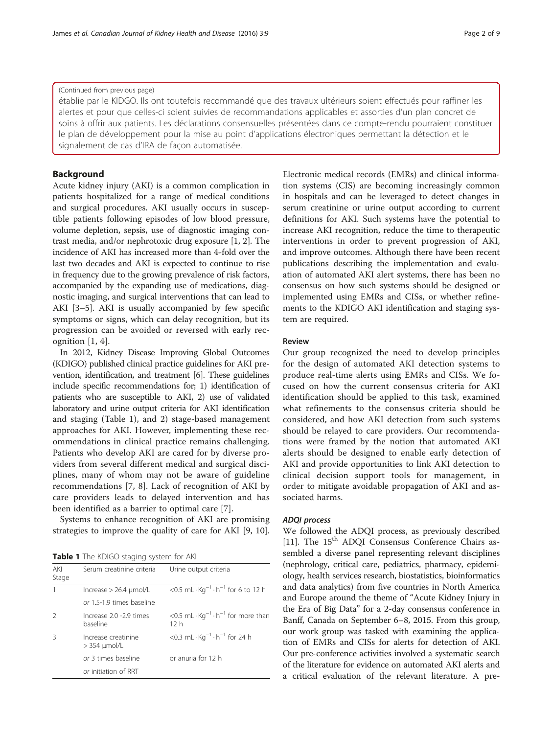## <span id="page-1-0"></span>(Continued from previous page)

établie par le KIDGO. Ils ont toutefois recommandé que des travaux ultérieurs soient effectués pour raffiner les alertes et pour que celles-ci soient suivies de recommandations applicables et assorties d'un plan concret de soins à offrir aux patients. Les déclarations consensuelles présentées dans ce compte-rendu pourraient constituer le plan de développement pour la mise au point d'applications électroniques permettant la détection et le signalement de cas d'IRA de façon automatisée.

## Background

Acute kidney injury (AKI) is a common complication in patients hospitalized for a range of medical conditions and surgical procedures. AKI usually occurs in susceptible patients following episodes of low blood pressure, volume depletion, sepsis, use of diagnostic imaging contrast media, and/or nephrotoxic drug exposure [[1, 2](#page-7-0)]. The incidence of AKI has increased more than 4-fold over the last two decades and AKI is expected to continue to rise in frequency due to the growing prevalence of risk factors, accompanied by the expanding use of medications, diagnostic imaging, and surgical interventions that can lead to AKI [\[3](#page-7-0)–[5](#page-7-0)]. AKI is usually accompanied by few specific symptoms or signs, which can delay recognition, but its progression can be avoided or reversed with early recognition [[1, 4\]](#page-7-0).

In 2012, Kidney Disease Improving Global Outcomes (KDIGO) published clinical practice guidelines for AKI prevention, identification, and treatment [\[6\]](#page-7-0). These guidelines include specific recommendations for; 1) identification of patients who are susceptible to AKI, 2) use of validated laboratory and urine output criteria for AKI identification and staging (Table 1), and [2\)](#page-2-0) stage-based management approaches for AKI. However, implementing these recommendations in clinical practice remains challenging. Patients who develop AKI are cared for by diverse providers from several different medical and surgical disciplines, many of whom may not be aware of guideline recommendations [\[7](#page-7-0), [8\]](#page-7-0). Lack of recognition of AKI by care providers leads to delayed intervention and has been identified as a barrier to optimal care [[7](#page-7-0)].

Systems to enhance recognition of AKI are promising strategies to improve the quality of care for AKI [[9, 10](#page-7-0)].

Table 1 The KDIGO staging system for AKI

| AKI<br>Stage  | Serum creatinine criteria             | Urine output criteria                                                                     |
|---------------|---------------------------------------|-------------------------------------------------------------------------------------------|
|               | $increase > 26.4 \mu mol/L$           | <0.5 mL $\cdot$ Kg <sup>-1</sup> $\cdot$ h <sup>-1</sup> for 6 to 12 h                    |
|               | or 15-19 times baseline               |                                                                                           |
| $\mathcal{L}$ | Increase 2.0 -2.9 times<br>baseline   | <0.5 mL $\cdot$ Kg <sup>-1</sup> $\cdot$ h <sup>-1</sup> for more than<br>12 <sub>h</sub> |
| 3             | Increase creatinine<br>$>$ 354 µmol/L | <0.3 mL $\cdot$ Kg <sup>-1</sup> $\cdot$ h <sup>-1</sup> for 24 h                         |
|               | or 3 times baseline                   | or anuria for 12 h                                                                        |
|               | or initiation of RRT                  |                                                                                           |

Electronic medical records (EMRs) and clinical information systems (CIS) are becoming increasingly common in hospitals and can be leveraged to detect changes in serum creatinine or urine output according to current definitions for AKI. Such systems have the potential to increase AKI recognition, reduce the time to therapeutic interventions in order to prevent progression of AKI, and improve outcomes. Although there have been recent publications describing the implementation and evaluation of automated AKI alert systems, there has been no consensus on how such systems should be designed or implemented using EMRs and CISs, or whether refinements to the KDIGO AKI identification and staging system are required.

## Review

Our group recognized the need to develop principles for the design of automated AKI detection systems to produce real-time alerts using EMRs and CISs. We focused on how the current consensus criteria for AKI identification should be applied to this task, examined what refinements to the consensus criteria should be considered, and how AKI detection from such systems should be relayed to care providers. Our recommendations were framed by the notion that automated AKI alerts should be designed to enable early detection of AKI and provide opportunities to link AKI detection to clinical decision support tools for management, in order to mitigate avoidable propagation of AKI and associated harms.

## ADQI process

We followed the ADQI process, as previously described [[11](#page-7-0)]. The  $15<sup>th</sup>$  ADQI Consensus Conference Chairs assembled a diverse panel representing relevant disciplines (nephrology, critical care, pediatrics, pharmacy, epidemiology, health services research, biostatistics, bioinformatics and data analytics) from five countries in North America and Europe around the theme of "Acute Kidney Injury in the Era of Big Data" for a 2-day consensus conference in Banff, Canada on September 6–8, 2015. From this group, our work group was tasked with examining the application of EMRs and CISs for alerts for detection of AKI. Our pre-conference activities involved a systematic search of the literature for evidence on automated AKI alerts and a critical evaluation of the relevant literature. A pre-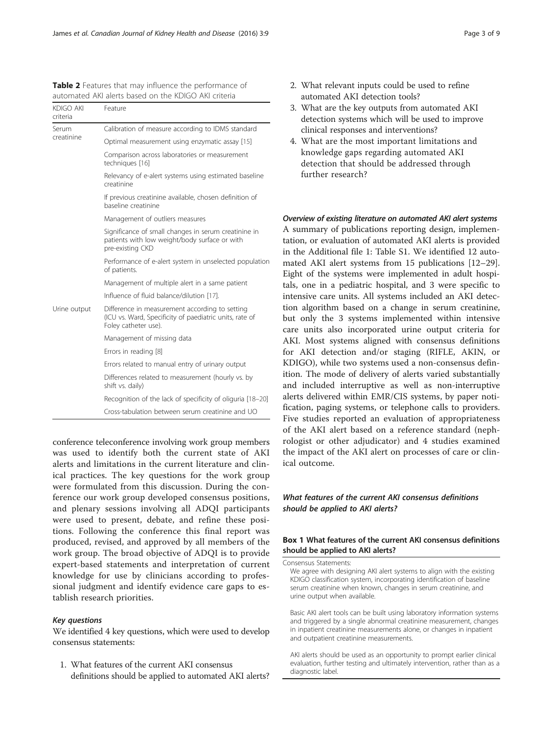<span id="page-2-0"></span>

| Table 2 Features that may influence the performance of |
|--------------------------------------------------------|
| automated AKI alerts based on the KDIGO AKI criteria   |

| KDIGO AKI<br>criteria | Feature                                                                                                                           |
|-----------------------|-----------------------------------------------------------------------------------------------------------------------------------|
| Serum                 | Calibration of measure according to IDMS standard                                                                                 |
| creatinine            | Optimal measurement using enzymatic assay [15]                                                                                    |
|                       | Comparison across laboratories or measurement<br>techniques [16]                                                                  |
|                       | Relevancy of e-alert systems using estimated baseline<br>creatinine                                                               |
|                       | If previous creatinine available, chosen definition of<br>baseline creatinine                                                     |
|                       | Management of outliers measures                                                                                                   |
|                       | Significance of small changes in serum creatinine in<br>patients with low weight/body surface or with<br>pre-existing CKD         |
|                       | Performance of e-alert system in unselected population<br>of patients.                                                            |
|                       | Management of multiple alert in a same patient                                                                                    |
|                       | Influence of fluid balance/dilution [17].                                                                                         |
| Urine output          | Difference in measurement according to setting<br>(ICU vs. Ward, Specificity of paediatric units, rate of<br>Foley catheter use). |
|                       | Management of missing data                                                                                                        |
|                       | Errors in reading [8]                                                                                                             |
|                       | Errors related to manual entry of urinary output                                                                                  |
|                       | Differences related to measurement (hourly vs. by<br>shift vs. daily)                                                             |
|                       | Recognition of the lack of specificity of oliguria [18-20]                                                                        |
|                       | Cross-tabulation between serum creatinine and UO                                                                                  |

conference teleconference involving work group members was used to identify both the current state of AKI alerts and limitations in the current literature and clinical practices. The key questions for the work group were formulated from this discussion. During the conference our work group developed consensus positions, and plenary sessions involving all ADQI participants were used to present, debate, and refine these positions. Following the conference this final report was produced, revised, and approved by all members of the work group. The broad objective of ADQI is to provide expert-based statements and interpretation of current knowledge for use by clinicians according to professional judgment and identify evidence care gaps to establish research priorities.

## Key questions

We identified 4 key questions, which were used to develop consensus statements:

1. What features of the current AKI consensus definitions should be applied to automated AKI alerts?

- 2. What relevant inputs could be used to refine automated AKI detection tools?
- 3. What are the key outputs from automated AKI detection systems which will be used to improve clinical responses and interventions?
- 4. What are the most important limitations and knowledge gaps regarding automated AKI detection that should be addressed through further research?

## Overview of existing literature on automated AKI alert systems

A summary of publications reporting design, implementation, or evaluation of automated AKI alerts is provided in the Additional file [1:](#page-6-0) Table S1. We identified 12 automated AKI alert systems from 15 publications [[12](#page-7-0)–[29](#page-8-0)]. Eight of the systems were implemented in adult hospitals, one in a pediatric hospital, and 3 were specific to intensive care units. All systems included an AKI detection algorithm based on a change in serum creatinine, but only the 3 systems implemented within intensive care units also incorporated urine output criteria for AKI. Most systems aligned with consensus definitions for AKI detection and/or staging (RIFLE, AKIN, or KDIGO), while two systems used a non-consensus definition. The mode of delivery of alerts varied substantially and included interruptive as well as non-interruptive alerts delivered within EMR/CIS systems, by paper notification, paging systems, or telephone calls to providers. Five studies reported an evaluation of appropriateness of the AKI alert based on a reference standard (nephrologist or other adjudicator) and 4 studies examined the impact of the AKI alert on processes of care or clinical outcome.

# What features of the current AKI consensus definitions should be applied to AKI alerts?

## Box 1 What features of the current AKI consensus definitions should be applied to AKI alerts?

Consensus Statements:

We agree with designing AKI alert systems to align with the existing KDIGO classification system, incorporating identification of baseline serum creatinine when known, changes in serum creatinine, and urine output when available.

Basic AKI alert tools can be built using laboratory information systems and triggered by a single abnormal creatinine measurement, changes in inpatient creatinine measurements alone, or changes in inpatient and outpatient creatinine measurements.

AKI alerts should be used as an opportunity to prompt earlier clinical evaluation, further testing and ultimately intervention, rather than as a diagnostic label.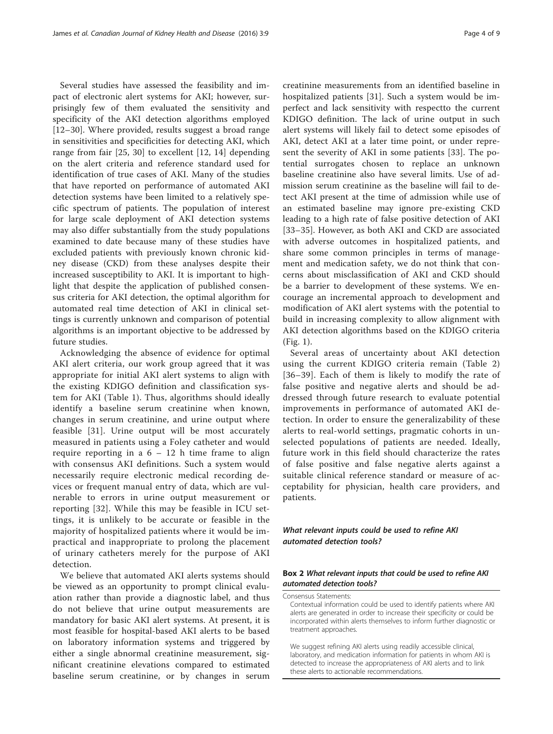Several studies have assessed the feasibility and impact of electronic alert systems for AKI; however, surprisingly few of them evaluated the sensitivity and specificity of the AKI detection algorithms employed [[12](#page-7-0)–[30\]](#page-8-0). Where provided, results suggest a broad range in sensitivities and specificities for detecting AKI, which range from fair [\[25](#page-8-0), [30\]](#page-8-0) to excellent [[12, 14\]](#page-7-0) depending on the alert criteria and reference standard used for identification of true cases of AKI. Many of the studies that have reported on performance of automated AKI detection systems have been limited to a relatively specific spectrum of patients. The population of interest for large scale deployment of AKI detection systems may also differ substantially from the study populations examined to date because many of these studies have excluded patients with previously known chronic kidney disease (CKD) from these analyses despite their increased susceptibility to AKI. It is important to highlight that despite the application of published consensus criteria for AKI detection, the optimal algorithm for automated real time detection of AKI in clinical settings is currently unknown and comparison of potential algorithms is an important objective to be addressed by future studies.

Acknowledging the absence of evidence for optimal AKI alert criteria, our work group agreed that it was appropriate for initial AKI alert systems to align with the existing KDIGO definition and classification system for AKI (Table [1\)](#page-1-0). Thus, algorithms should ideally identify a baseline serum creatinine when known, changes in serum creatinine, and urine output where feasible [[31\]](#page-8-0). Urine output will be most accurately measured in patients using a Foley catheter and would require reporting in a  $6 - 12$  h time frame to align with consensus AKI definitions. Such a system would necessarily require electronic medical recording devices or frequent manual entry of data, which are vulnerable to errors in urine output measurement or reporting [\[32\]](#page-8-0). While this may be feasible in ICU settings, it is unlikely to be accurate or feasible in the majority of hospitalized patients where it would be impractical and inappropriate to prolong the placement of urinary catheters merely for the purpose of AKI detection.

We believe that automated AKI alerts systems should be viewed as an opportunity to prompt clinical evaluation rather than provide a diagnostic label, and thus do not believe that urine output measurements are mandatory for basic AKI alert systems. At present, it is most feasible for hospital-based AKI alerts to be based on laboratory information systems and triggered by either a single abnormal creatinine measurement, significant creatinine elevations compared to estimated baseline serum creatinine, or by changes in serum

creatinine measurements from an identified baseline in hospitalized patients [[31](#page-8-0)]. Such a system would be imperfect and lack sensitivity with respectto the current KDIGO definition. The lack of urine output in such alert systems will likely fail to detect some episodes of AKI, detect AKI at a later time point, or under represent the severity of AKI in some patients [[33\]](#page-8-0). The potential surrogates chosen to replace an unknown baseline creatinine also have several limits. Use of admission serum creatinine as the baseline will fail to detect AKI present at the time of admission while use of an estimated baseline may ignore pre-existing CKD leading to a high rate of false positive detection of AKI [[33](#page-8-0)–[35](#page-8-0)]. However, as both AKI and CKD are associated with adverse outcomes in hospitalized patients, and share some common principles in terms of management and medication safety, we do not think that concerns about misclassification of AKI and CKD should be a barrier to development of these systems. We encourage an incremental approach to development and modification of AKI alert systems with the potential to build in increasing complexity to allow alignment with AKI detection algorithms based on the KDIGO criteria (Fig. [1\)](#page-4-0).

Several areas of uncertainty about AKI detection using the current KDIGO criteria remain (Table [2](#page-2-0)) [[36](#page-8-0)–[39\]](#page-8-0). Each of them is likely to modify the rate of false positive and negative alerts and should be addressed through future research to evaluate potential improvements in performance of automated AKI detection. In order to ensure the generalizability of these alerts to real-world settings, pragmatic cohorts in unselected populations of patients are needed. Ideally, future work in this field should characterize the rates of false positive and false negative alerts against a suitable clinical reference standard or measure of acceptability for physician, health care providers, and patients.

## What relevant inputs could be used to refine AKI automated detection tools?

## Box 2 What relevant inputs that could be used to refine AKI automated detection tools?

Consensus Statements:

Contextual information could be used to identify patients where AKI alerts are generated in order to increase their specificity or could be incorporated within alerts themselves to inform further diagnostic or treatment approaches.

We suggest refining AKI alerts using readily accessible clinical, laboratory, and medication information for patients in whom AKI is detected to increase the appropriateness of AKI alerts and to link these alerts to actionable recommendations.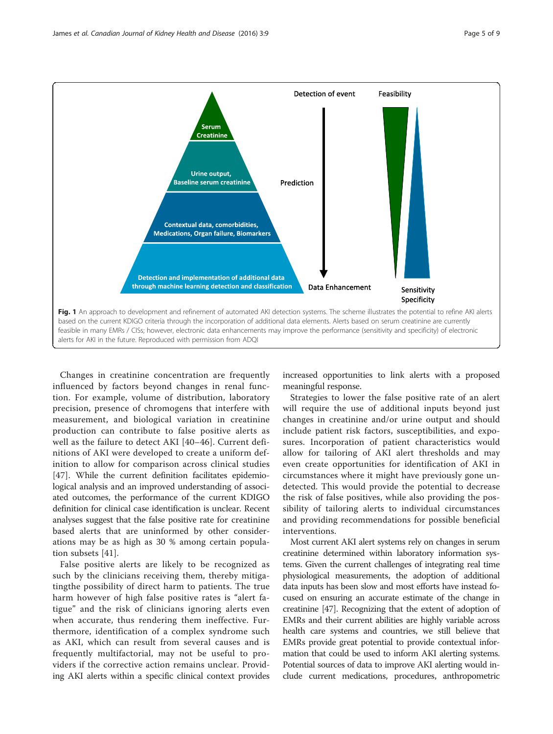<span id="page-4-0"></span>

Changes in creatinine concentration are frequently influenced by factors beyond changes in renal function. For example, volume of distribution, laboratory precision, presence of chromogens that interfere with measurement, and biological variation in creatinine production can contribute to false positive alerts as well as the failure to detect AKI [\[40](#page-8-0)–[46\]](#page-8-0). Current definitions of AKI were developed to create a uniform definition to allow for comparison across clinical studies [[47](#page-8-0)]. While the current definition facilitates epidemiological analysis and an improved understanding of associated outcomes, the performance of the current KDIGO definition for clinical case identification is unclear. Recent analyses suggest that the false positive rate for creatinine based alerts that are uninformed by other considerations may be as high as 30 % among certain population subsets [[41\]](#page-8-0).

False positive alerts are likely to be recognized as such by the clinicians receiving them, thereby mitigatingthe possibility of direct harm to patients. The true harm however of high false positive rates is "alert fatigue" and the risk of clinicians ignoring alerts even when accurate, thus rendering them ineffective. Furthermore, identification of a complex syndrome such as AKI, which can result from several causes and is frequently multifactorial, may not be useful to providers if the corrective action remains unclear. Providing AKI alerts within a specific clinical context provides

increased opportunities to link alerts with a proposed meaningful response.

Strategies to lower the false positive rate of an alert will require the use of additional inputs beyond just changes in creatinine and/or urine output and should include patient risk factors, susceptibilities, and exposures. Incorporation of patient characteristics would allow for tailoring of AKI alert thresholds and may even create opportunities for identification of AKI in circumstances where it might have previously gone undetected. This would provide the potential to decrease the risk of false positives, while also providing the possibility of tailoring alerts to individual circumstances and providing recommendations for possible beneficial interventions.

Most current AKI alert systems rely on changes in serum creatinine determined within laboratory information systems. Given the current challenges of integrating real time physiological measurements, the adoption of additional data inputs has been slow and most efforts have instead focused on ensuring an accurate estimate of the change in creatinine [[47](#page-8-0)]. Recognizing that the extent of adoption of EMRs and their current abilities are highly variable across health care systems and countries, we still believe that EMRs provide great potential to provide contextual information that could be used to inform AKI alerting systems. Potential sources of data to improve AKI alerting would include current medications, procedures, anthropometric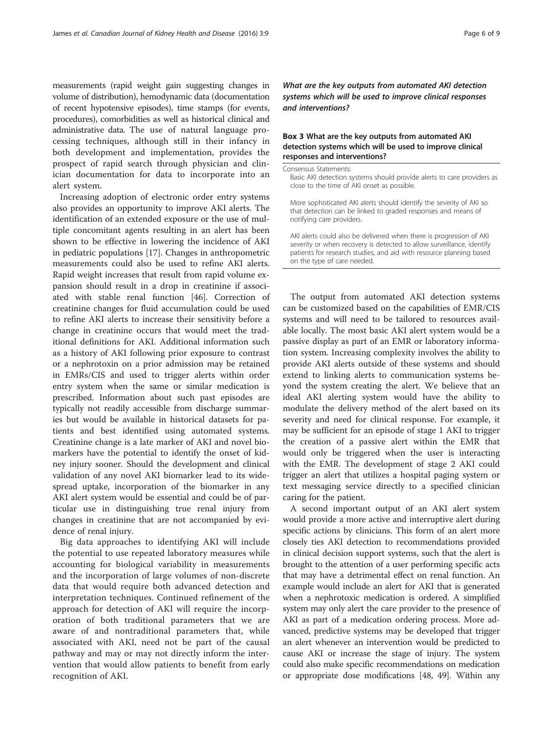measurements (rapid weight gain suggesting changes in volume of distribution), hemodynamic data (documentation of recent hypotensive episodes), time stamps (for events, procedures), comorbidities as well as historical clinical and administrative data. The use of natural language processing techniques, although still in their infancy in both development and implementation, provides the prospect of rapid search through physician and clinician documentation for data to incorporate into an alert system.

Increasing adoption of electronic order entry systems also provides an opportunity to improve AKI alerts. The identification of an extended exposure or the use of multiple concomitant agents resulting in an alert has been shown to be effective in lowering the incidence of AKI in pediatric populations [\[17\]](#page-7-0). Changes in anthropometric measurements could also be used to refine AKI alerts. Rapid weight increases that result from rapid volume expansion should result in a drop in creatinine if associated with stable renal function [[46\]](#page-8-0). Correction of creatinine changes for fluid accumulation could be used to refine AKI alerts to increase their sensitivity before a change in creatinine occurs that would meet the traditional definitions for AKI. Additional information such as a history of AKI following prior exposure to contrast or a nephrotoxin on a prior admission may be retained in EMRs/CIS and used to trigger alerts within order entry system when the same or similar medication is prescribed. Information about such past episodes are typically not readily accessible from discharge summaries but would be available in historical datasets for patients and best identified using automated systems. Creatinine change is a late marker of AKI and novel biomarkers have the potential to identify the onset of kidney injury sooner. Should the development and clinical validation of any novel AKI biomarker lead to its widespread uptake, incorporation of the biomarker in any AKI alert system would be essential and could be of particular use in distinguishing true renal injury from changes in creatinine that are not accompanied by evidence of renal injury.

Big data approaches to identifying AKI will include the potential to use repeated laboratory measures while accounting for biological variability in measurements and the incorporation of large volumes of non-discrete data that would require both advanced detection and interpretation techniques. Continued refinement of the approach for detection of AKI will require the incorporation of both traditional parameters that we are aware of and nontraditional parameters that, while associated with AKI, need not be part of the causal pathway and may or may not directly inform the intervention that would allow patients to benefit from early recognition of AKI.

What are the key outputs from automated AKI detection systems which will be used to improve clinical responses and interventions?

## Box 3 What are the key outputs from automated AKI detection systems which will be used to improve clinical responses and interventions?

Consensus Statements:

Basic AKI detection systems should provide alerts to care providers as close to the time of AKI onset as possible.

More sophisticated AKI alerts should identify the severity of AKI so that detection can be linked to graded responses and means of notifying care providers.

AKI alerts could also be delivered when there is progression of AKI severity or when recovery is detected to allow surveillance, identify patients for research studies, and aid with resource planning based on the type of care needed.

The output from automated AKI detection systems can be customized based on the capabilities of EMR/CIS systems and will need to be tailored to resources available locally. The most basic AKI alert system would be a passive display as part of an EMR or laboratory information system. Increasing complexity involves the ability to provide AKI alerts outside of these systems and should extend to linking alerts to communication systems beyond the system creating the alert. We believe that an ideal AKI alerting system would have the ability to modulate the delivery method of the alert based on its severity and need for clinical response. For example, it may be sufficient for an episode of stage 1 AKI to trigger the creation of a passive alert within the EMR that would only be triggered when the user is interacting with the EMR. The development of stage 2 AKI could trigger an alert that utilizes a hospital paging system or text messaging service directly to a specified clinician caring for the patient.

A second important output of an AKI alert system would provide a more active and interruptive alert during specific actions by clinicians. This form of an alert more closely ties AKI detection to recommendations provided in clinical decision support systems, such that the alert is brought to the attention of a user performing specific acts that may have a detrimental effect on renal function. An example would include an alert for AKI that is generated when a nephrotoxic medication is ordered. A simplified system may only alert the care provider to the presence of AKI as part of a medication ordering process. More advanced, predictive systems may be developed that trigger an alert whenever an intervention would be predicted to cause AKI or increase the stage of injury. The system could also make specific recommendations on medication or appropriate dose modifications [[48](#page-8-0), [49](#page-8-0)]. Within any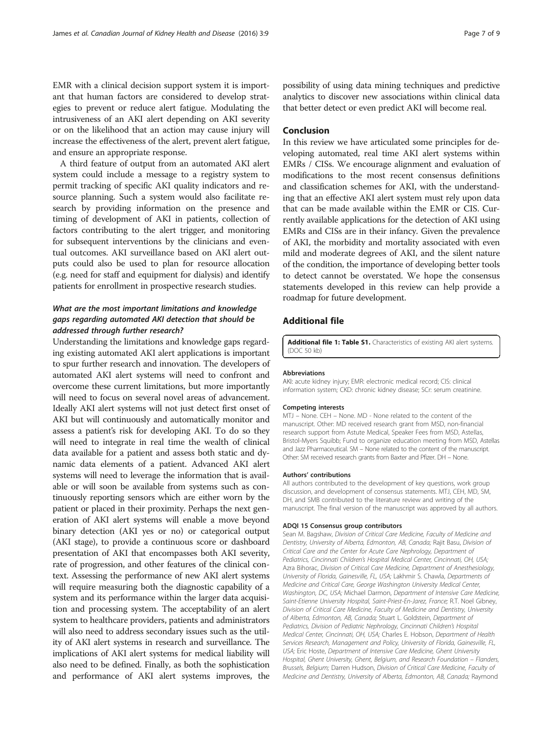<span id="page-6-0"></span>EMR with a clinical decision support system it is important that human factors are considered to develop strategies to prevent or reduce alert fatigue. Modulating the intrusiveness of an AKI alert depending on AKI severity or on the likelihood that an action may cause injury will increase the effectiveness of the alert, prevent alert fatigue, and ensure an appropriate response.

A third feature of output from an automated AKI alert system could include a message to a registry system to permit tracking of specific AKI quality indicators and resource planning. Such a system would also facilitate research by providing information on the presence and timing of development of AKI in patients, collection of factors contributing to the alert trigger, and monitoring for subsequent interventions by the clinicians and eventual outcomes. AKI surveillance based on AKI alert outputs could also be used to plan for resource allocation (e.g. need for staff and equipment for dialysis) and identify patients for enrollment in prospective research studies.

# What are the most important limitations and knowledge gaps regarding automated AKI detection that should be addressed through further research?

Understanding the limitations and knowledge gaps regarding existing automated AKI alert applications is important to spur further research and innovation. The developers of automated AKI alert systems will need to confront and overcome these current limitations, but more importantly will need to focus on several novel areas of advancement. Ideally AKI alert systems will not just detect first onset of AKI but will continuously and automatically monitor and assess a patient's risk for developing AKI. To do so they will need to integrate in real time the wealth of clinical data available for a patient and assess both static and dynamic data elements of a patient. Advanced AKI alert systems will need to leverage the information that is available or will soon be available from systems such as continuously reporting sensors which are either worn by the patient or placed in their proximity. Perhaps the next generation of AKI alert systems will enable a move beyond binary detection (AKI yes or no) or categorical output (AKI stage), to provide a continuous score or dashboard presentation of AKI that encompasses both AKI severity, rate of progression, and other features of the clinical context. Assessing the performance of new AKI alert systems will require measuring both the diagnostic capability of a system and its performance within the larger data acquisition and processing system. The acceptability of an alert system to healthcare providers, patients and administrators will also need to address secondary issues such as the utility of AKI alert systems in research and surveillance. The implications of AKI alert systems for medical liability will also need to be defined. Finally, as both the sophistication and performance of AKI alert systems improves, the

possibility of using data mining techniques and predictive analytics to discover new associations within clinical data that better detect or even predict AKI will become real.

# Conclusion

In this review we have articulated some principles for developing automated, real time AKI alert systems within EMRs / CISs. We encourage alignment and evaluation of modifications to the most recent consensus definitions and classification schemes for AKI, with the understanding that an effective AKI alert system must rely upon data that can be made available within the EMR or CIS. Currently available applications for the detection of AKI using EMRs and CISs are in their infancy. Given the prevalence of AKI, the morbidity and mortality associated with even mild and moderate degrees of AKI, and the silent nature of the condition, the importance of developing better tools to detect cannot be overstated. We hope the consensus statements developed in this review can help provide a roadmap for future development.

## Additional file

[Additional file 1: Table S1.](dx.doi.org/10.1186/s40697-016-0100-2) Characteristics of existing AKI alert systems. (DOC 50 kb)

#### Abbreviations

AKI: acute kidney injury; EMR: electronic medical record; CIS: clinical information system; CKD: chronic kidney disease; SCr: serum creatinine.

#### Competing interests

MTJ – None. CEH – None. MD - None related to the content of the manuscript. Other: MD received research grant from MSD, non-financial research support from Astute Medical, Speaker Fees from MSD, Astellas, Bristol-Myers Squibb; Fund to organize education meeting from MSD, Astellas and Jazz Pharmaceutical. SM – None related to the content of the manuscript. Other: SM received research grants from Baxter and Pfizer. DH – None.

## Authors' contributions

All authors contributed to the development of key questions, work group discussion, and development of consensus statements. MTJ, CEH, MD, SM, DH, and SMB contributed to the literature review and writing of the manuscript. The final version of the manuscript was approved by all authors.

#### ADQI 15 Consensus group contributors

Sean M. Bagshaw, Division of Critical Care Medicine, Faculty of Medicine and Dentistry, University of Alberta, Edmonton, AB, Canada; Rajit Basu, Division of Critical Care and the Center for Acute Care Nephrology, Department of Pediatrics, Cincinnati Children's Hospital Medical Center, Cincinnati, OH, USA; Azra Bihorac, Division of Critical Care Medicine, Department of Anesthesiology, University of Florida, Gainesville, FL, USA; Lakhmir S. Chawla, Departments of Medicine and Critical Care, George Washington University Medical Center, Washington, DC, USA; Michael Darmon, Department of Intensive Care Medicine, Saint-Etienne University Hospital, Saint-Priest-En-Jarez, France; R.T. Noel Gibney, Division of Critical Care Medicine, Faculty of Medicine and Dentistry, University of Alberta, Edmonton, AB, Canada; Stuart L. Goldstein, Department of Pediatrics, Division of Pediatric Nephrology, Cincinnati Children's Hospital Medical Center, Cincinnati, OH, USA; Charles E. Hobson, Department of Health Services Research, Management and Policy, University of Florida, Gainesville, FL, USA; Eric Hoste, Department of Intensive Care Medicine, Ghent University Hospital, Ghent University, Ghent, Belgium, and Research Foundation – Flanders, Brussels, Belgium; Darren Hudson, Division of Critical Care Medicine, Faculty of Medicine and Dentistry, University of Alberta, Edmonton, AB, Canada; Raymond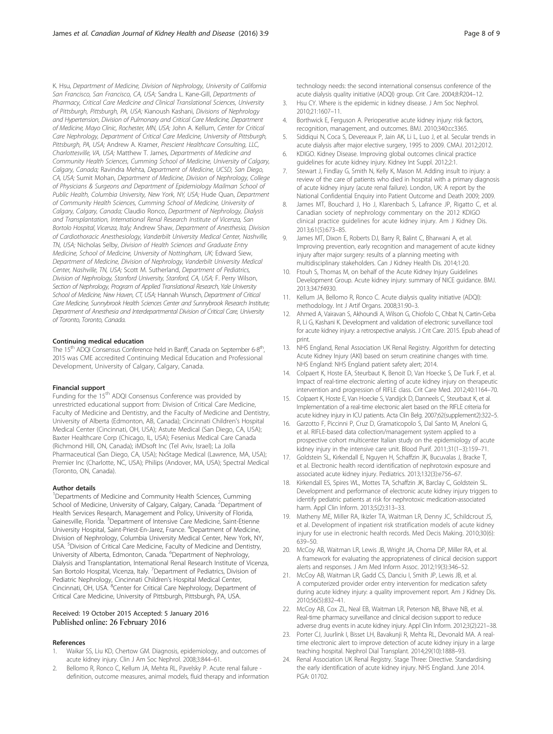<span id="page-7-0"></span>K. Hsu, Department of Medicine, Division of Nephrology, University of California San Francisco, San Francisco, CA, USA; Sandra L. Kane-Gill, Departments of Pharmacy, Critical Care Medicine and Clinical Translational Sciences, University of Pittsburgh, Pittsburgh, PA, USA; Kianoush Kashani, Divisions of Nephrology and Hypertension, Division of Pulmonary and Critical Care Medicine, Department of Medicine, Mayo Clinic, Rochester, MN, USA; John A. Kellum, Center for Critical Care Nephrology, Department of Critical Care Medicine, University of Pittsburgh, Pittsburgh, PA, USA; Andrew A. Kramer, Prescient Healthcare Consulting, LLC, Charlottesville, VA, USA; Matthew T. James, Departments of Medicine and Community Health Sciences, Cumming School of Medicine, University of Calgary, Calgary, Canada; Ravindra Mehta, Department of Medicine, UCSD, San Diego, CA, USA; Sumit Mohan, Department of Medicine, Division of Nephrology, College of Physicians & Surgeons and Department of Epidemiology Mailman School of Public Health, Columbia University, New York, NY, USA; Hude Quan, Department of Community Health Sciences, Cumming School of Medicine, University of Calgary, Calgary, Canada; Claudio Ronco, Department of Nephrology, Dialysis and Transplantation, International Renal Research Institute of Vicenza, San Bortolo Hospital, Vicenza, Italy; Andrew Shaw, Department of Anesthesia, Division of Cardiothoracic Anesthesiology, Vanderbilt University Medical Center, Nashville, TN, USA; Nicholas Selby, Division of Health Sciences and Graduate Entry Medicine, School of Medicine, University of Nottingham, UK; Edward Siew, Department of Medicine, Division of Nephrology, Vanderbilt University Medical Center, Nashville, TN, USA; Scott M. Sutherland, Department of Pediatrics, Division of Nephrology, Stanford University, Stanford, CA, USA; F. Perry Wilson, Section of Nephrology, Program of Applied Translational Research, Yale University School of Medicine, New Haven, CT, USA; Hannah Wunsch, Department of Critical Care Medicine, Sunnybrook Health Sciences Center and Sunnybrook Research Institute; Department of Anesthesia and Interdepartmental Division of Critical Care, University of Toronto, Toronto, Canada.

#### Continuing medical education

The 15<sup>th</sup> ADQI Consensus Conference held in Banff, Canada on September 6-8<sup>th</sup>, 2015 was CME accredited Continuing Medical Education and Professional Development, University of Calgary, Calgary, Canada.

#### Financial support

Funding for the 15<sup>th</sup> ADQI Consensus Conference was provided by unrestricted educational support from: Division of Critical Care Medicine, Faculty of Medicine and Dentistry, and the Faculty of Medicine and Dentistry, University of Alberta (Edmonton, AB, Canada); Cincinnati Children's Hospital Medical Center (Cincinnati, OH, USA); Astute Medical (San Diego, CA, USA); Baxter Healthcare Corp (Chicago, IL, USA); Fesenius Medical Care Canada (Richmond Hill, ON, Canada); iMDsoft Inc (Tel Aviv, Israel); La Jolla Pharmaceutical (San Diego, CA, USA); NxStage Medical (Lawrence, MA, USA); Premier Inc (Charlotte, NC, USA); Philips (Andover, MA, USA); Spectral Medical (Toronto, ON, Canada).

#### Author details

<sup>1</sup>Departments of Medicine and Community Health Sciences, Cumming School of Medicine, University of Calgary, Calgary, Canada. <sup>2</sup>Department of Health Services Research, Management and Policy, University of Florida, Gainesville, Florida. <sup>3</sup>Department of Intensive Care Medicine, Saint-Etienne University Hospital, Saint-Priest-En-Jarez, France. <sup>4</sup>Department of Medicine, Division of Nephrology, Columbia University Medical Center, New York, NY, USA. <sup>5</sup> Division of Critical Care Medicine, Faculty of Medicine and Dentistry, University of Alberta, Edmonton, Canada. <sup>6</sup>Department of Nephrology, Dialysis and Transplantation, International Renal Research Institute of Vicenza, San Bortolo Hospital, Vicenza, Italy. <sup>7</sup>Department of Pediatrics, Division of Pediatric Nephrology, Cincinnati Children's Hospital Medical Center, Cincinnati, OH, USA. <sup>8</sup>Center for Critical Care Nephrology, Department of Critical Care Medicine, University of Pittsburgh, Pittsburgh, PA, USA.

## Received: 19 October 2015 Accepted: 5 January 2016 Published online: 26 February 2016

### References

- 1. Waikar SS, Liu KD, Chertow GM. Diagnosis, epidemiology, and outcomes of acute kidney injury. Clin J Am Soc Nephrol. 2008;3:844–61.
- 2. Bellomo R, Ronco C, Kellum JA, Mehta RL, Pavelsky P. Acute renal failure definition, outcome measures, animal models, fluid therapy and information
- 3. Hsu CY. Where is the epidemic in kidney disease. J Am Soc Nephrol. 2010;21:1607–11.
- 4. Borthwick E, Ferguson A. Perioperative acute kidney injury: risk factors, recognition, management, and outcomes. BMJ. 2010;340:cc3365.
- 5. Siddiqui N, Coca S, Devereaux P, Jain AK, Li L, Luo J, et al. Secular trends in acute dialysis after major elective surgery, 1995 to 2009. CMAJ. 2012;2012.
- 6. KDIGO. Kidney Disease. Improving global outcomes clinical practice guidelines for acute kidney injury. Kidney Int Suppl. 2012;2:1.
- Stewart J, Findlay G, Smith N, Kelly K, Mason M. Adding insult to injury: a review of the care of patients who died in hospital with a primary diagnosis of acute kidney injury (acute renal failure). London, UK: A report by the National Confidential Enquiry into Patient Outcome and Death 2009; 2009.
- James MT, Bouchard J, Ho J, Klarenbach S, Lafrance JP, Rigatto C, et al. Canadian society of nephrology commentary on the 2012 KDIGO clinical practice guidelines for acute kidney injury. Am J Kidney Dis. 2013;61(5):673–85.
- 9. James MT, Dixon E, Roberts DJ, Barry R, Balint C, Bharwani A, et al. Improving prevention, early recognition and management of acute kidney injury after major surgery: results of a planning meeting with multidisciplinary stakeholders. Can J Kidney Health Dis. 2014;1:20.
- 10. Ftouh S, Thomas M, on behalf of the Acute Kidney Injury Guidelines Development Group. Acute kidney injury: summary of NICE guidance. BMJ. 2013;347:f4930.
- 11. Kellum JA, Bellomo R, Ronco C. Acute dialysis quality initiative (ADQI): methodology. Int J Artif Organs. 2008;31:90–3.
- 12. Ahmed A, Vairavan S, Akhoundi A, Wilson G, Chiofolo C, Chbat N, Cartin-Ceba R, Li G, Kashani K. Development and validation of electronic surveillance tool for acute kidney injury: a retrospective analysis. J Crit Care. 2015. Epub ahead of print.
- 13. NHS England, Renal Association UK Renal Registry. Algorithm for detecting Acute Kidney Injury (AKI) based on serum creatinine changes with time. NHS England: NHS England patient safety alert; 2014.
- 14. Colpaert K, Hoste EA, Steurbaut K, Benoit D, Van Hoecke S, De Turk F, et al. Impact of real-time electronic alerting of acute kidney injury on therapeutic intervention and progression of RIFLE class. Crit Care Med. 2012;40:1164–70.
- 15. Colpaert K, Hoste E, Van Hoecke S, Vandijck D, Danneels C, Steurbaut K, et al. Implementation of a real-time electronic alert based on the RIFLE criteria for acute kidney injury in ICU patients. Acta Clin Belg. 2007;62(supplement2):322–5.
- 16. Garzotto F, Piccinni P, Cruz D, Gramaticopolo S, Dal Santo M, Aneloni G, et al. RIFLE-based data collection/management system applied to a prospective cohort multicenter Italian study on the epidemiology of acute kidney injury in the intensive care unit. Blood Purif. 2011;31(1–3):159–71.
- 17. Goldstein SL, Kirkendall E, Nguyen H, Schaffzin JK, Bucuvalas J, Bracke T, et al. Electronic health record identification of nephrotoxin exposure and associated acute kidney injury. Pediatrics. 2013;132(3):e756–67.
- 18. Kirkendall ES, Spires WL, Mottes TA, Schaffzin JK, Barclay C, Goldstein SL. Development and performance of electronic acute kidney injury triggers to identify pediatric patients at risk for nephrotoxic medication-associated harm. Appl Clin Inform. 2013;5(2):313–33.
- 19. Matheny ME, Miller RA, Ikizler TA, Waitman LR, Denny JC, Schildcrout JS, et al. Development of inpatient risk stratification models of acute kidney injury for use in electronic health records. Med Decis Making. 2010;30(6): 639–50.
- 20. McCoy AB, Waitman LR, Lewis JB, Wright JA, Choma DP, Miller RA, et al. A framework for evaluating the appropriateness of clinical decision support alerts and responses. J Am Med Inform Assoc. 2012;19(3):346–52.
- 21. McCoy AB, Waitman LR, Gadd CS, Danciu I, Smith JP, Lewis JB, et al. A computerized provider order entry intervention for medication safety during acute kidney injury: a quality improvement report. Am J Kidney Dis. 2010;56(5):832–41.
- 22. McCoy AB, Cox ZL, Neal EB, Waitman LR, Peterson NB, Bhave NB, et al. Real-time pharmacy surveillance and clinical decision support to reduce adverse drug events in acute kidney injury. Appl Clin Inform. 2012;3(2):221–38.
- 23. Porter CJ, Juurlink I, Bisset LH, Bavakunji R, Mehta RL, Devonald MA. A realtime electronic alert to improve detection of acute kidney injury in a large teaching hospital. Nephrol Dial Transplant. 2014;29(10):1888–93.
- 24. Renal Association UK Renal Registry. Stage Three: Directive. Standardising the early identification of acute kidney injury. NHS England. June 2014. PGA: 01702.